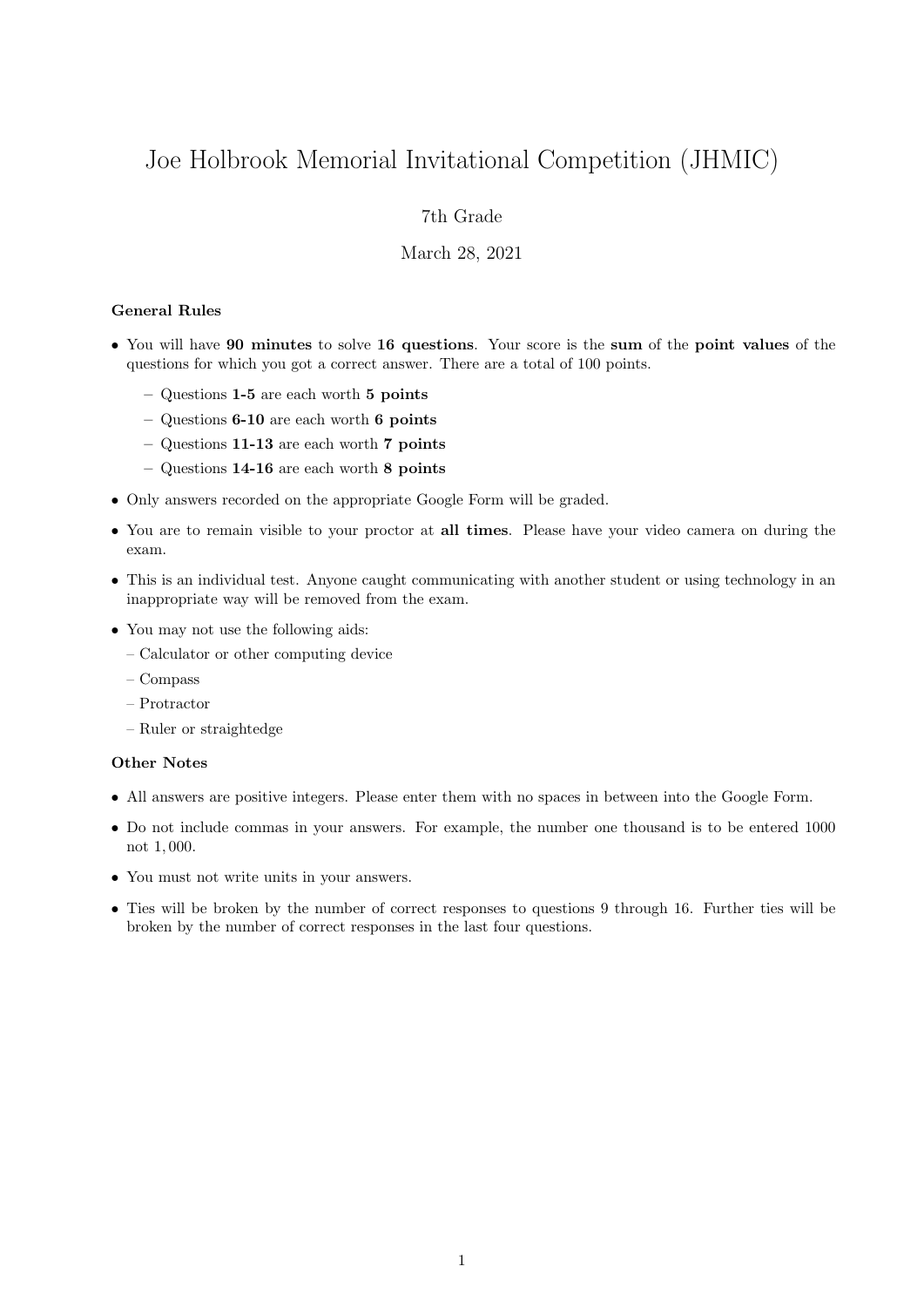# Joe Holbrook Memorial Invitational Competition (JHMIC)

## 7th Grade

#### March 28, 2021

#### General Rules

- You will have 90 minutes to solve 16 questions. Your score is the sum of the point values of the questions for which you got a correct answer. There are a total of 100 points.
	- Questions 1-5 are each worth 5 points
	- Questions 6-10 are each worth 6 points
	- Questions 11-13 are each worth 7 points
	- Questions 14-16 are each worth 8 points
- Only answers recorded on the appropriate Google Form will be graded.
- You are to remain visible to your proctor at all times. Please have your video camera on during the exam.
- This is an individual test. Anyone caught communicating with another student or using technology in an inappropriate way will be removed from the exam.
- You may not use the following aids:
	- Calculator or other computing device
	- Compass
	- Protractor
	- Ruler or straightedge

### Other Notes

- All answers are positive integers. Please enter them with no spaces in between into the Google Form.
- Do not include commas in your answers. For example, the number one thousand is to be entered 1000 not 1, 000.
- You must not write units in your answers.
- Ties will be broken by the number of correct responses to questions 9 through 16. Further ties will be broken by the number of correct responses in the last four questions.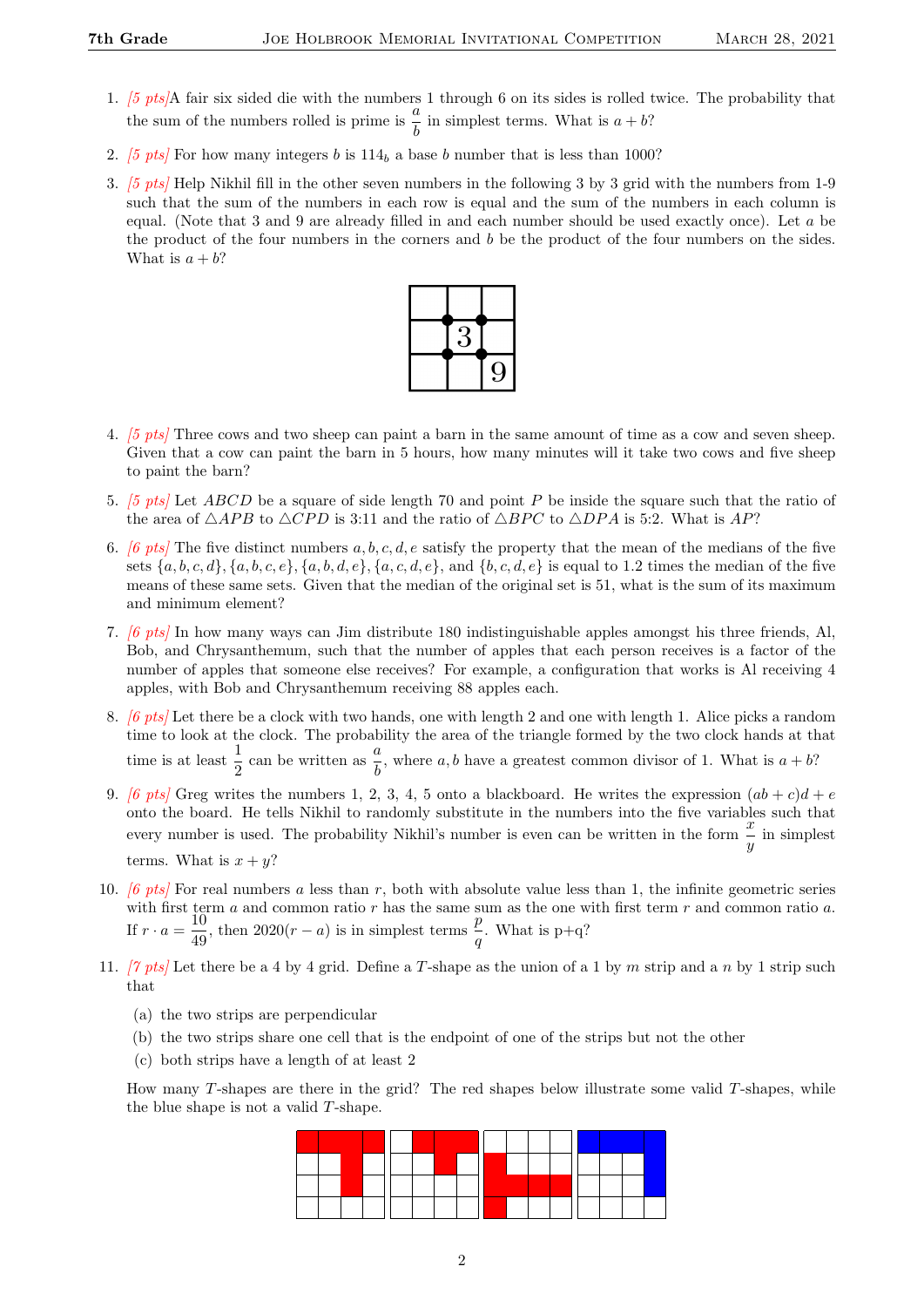- 1. [5 pts]A fair six sided die with the numbers 1 through 6 on its sides is rolled twice. The probability that the sum of the numbers rolled is prime is  $\frac{a}{b}$  in simplest terms. What is  $a + b$ ?
- 2. [5 pts] For how many integers b is  $114<sub>b</sub>$  a base b number that is less than 1000?
- 3. [5 pts] Help Nikhil fill in the other seven numbers in the following 3 by 3 grid with the numbers from 1-9 such that the sum of the numbers in each row is equal and the sum of the numbers in each column is equal. (Note that 3 and 9 are already filled in and each number should be used exactly once). Let a be the product of the four numbers in the corners and b be the product of the four numbers on the sides. What is  $a + b$ ?



- 4. [5 pts] Three cows and two sheep can paint a barn in the same amount of time as a cow and seven sheep. Given that a cow can paint the barn in 5 hours, how many minutes will it take two cows and five sheep to paint the barn?
- 5. [5 pts] Let ABCD be a square of side length 70 and point P be inside the square such that the ratio of the area of  $\triangle APB$  to  $\triangle CPD$  is 3:11 and the ratio of  $\triangle BPC$  to  $\triangle DPA$  is 5:2. What is AP?
- 6. [6 pts] The five distinct numbers a, b, c, d, e satisfy the property that the mean of the medians of the five sets  $\{a, b, c, d\}, \{a, b, c, e\}, \{a, b, d, e\}, \{a, c, d, e\}, \text{ and } \{b, c, d, e\} \text{ is equal to } 1.2 \text{ times the median of the five.}$ means of these same sets. Given that the median of the original set is 51, what is the sum of its maximum and minimum element?
- 7. [6 pts] In how many ways can Jim distribute 180 indistinguishable apples amongst his three friends, Al, Bob, and Chrysanthemum, such that the number of apples that each person receives is a factor of the number of apples that someone else receives? For example, a configuration that works is Al receiving 4 apples, with Bob and Chrysanthemum receiving 88 apples each.
- 8. [6 pts] Let there be a clock with two hands, one with length 2 and one with length 1. Alice picks a random time to look at the clock. The probability the area of the triangle formed by the two clock hands at that time is at least  $\frac{1}{2}$  can be written as  $\frac{a}{b}$ , where a, b have a greatest common divisor of 1. What is  $a + b$ ?
- 9. [6 pts] Greg writes the numbers 1, 2, 3, 4, 5 onto a blackboard. He writes the expression  $(ab + c)d + e$ onto the board. He tells Nikhil to randomly substitute in the numbers into the five variables such that every number is used. The probability Nikhil's number is even can be written in the form  $\frac{x}{y}$  in simplest terms. What is  $x + y$ ?
- 10.  $[6 \; pts]$  For real numbers a less than r, both with absolute value less than 1, the infinite geometric series with first term a and common ratio r has the same sum as the one with first term r and common ratio a. If  $r \cdot a = \frac{10}{10}$  $\frac{10}{49}$ , then  $2020(r-a)$  is in simplest terms  $\frac{p}{q}$ . What is p+q?
- 11. [7 pts] Let there be a 4 by 4 grid. Define a T-shape as the union of a 1 by m strip and a n by 1 strip such that
	- (a) the two strips are perpendicular
	- (b) the two strips share one cell that is the endpoint of one of the strips but not the other
	- (c) both strips have a length of at least 2

How many  $T$ -shapes are there in the grid? The red shapes below illustrate some valid  $T$ -shapes, while the blue shape is not a valid T-shape.